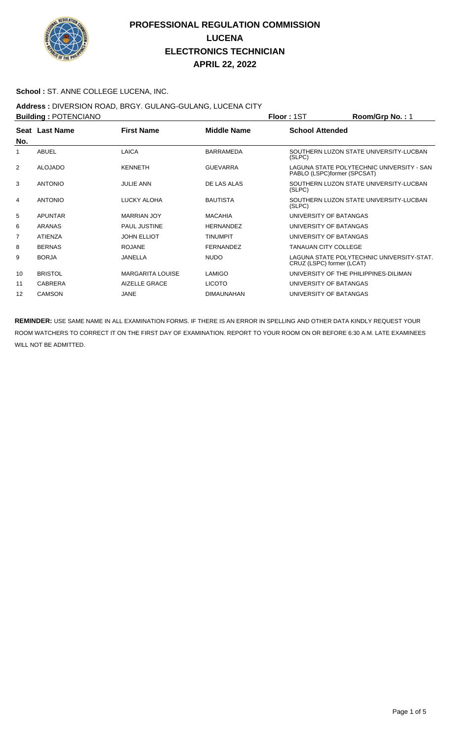

### **School :** ST. ANNE COLLEGE LUCENA, INC.

## **Address :** DIVERSION ROAD, BRGY. GULANG-GULANG, LUCENA CITY

|                | <b>Building: POTENCIANO</b> |                         |                    | <b>Floor: 1ST</b>           | Room/Grp No.: 1                           |
|----------------|-----------------------------|-------------------------|--------------------|-----------------------------|-------------------------------------------|
| No.            | <b>Seat Last Name</b>       | <b>First Name</b>       | <b>Middle Name</b> | <b>School Attended</b>      |                                           |
| 1              | <b>ABUEL</b>                | LAICA                   | <b>BARRAMEDA</b>   | (SLPC)                      | SOUTHERN LUZON STATE UNIVERSITY-LUCBAN    |
| $\overline{2}$ | <b>ALOJADO</b>              | <b>KENNETH</b>          | <b>GUEVARRA</b>    | PABLO (LSPC)former (SPCSAT) | LAGUNA STATE POLYTECHNIC UNIVERSITY - SAN |
| 3              | <b>ANTONIO</b>              | <b>JULIE ANN</b>        | DE LAS ALAS        | (SLPC)                      | SOUTHERN LUZON STATE UNIVERSITY-LUCBAN    |
| 4              | <b>ANTONIO</b>              | LUCKY ALOHA             | <b>BAUTISTA</b>    | (SLPC)                      | SOUTHERN LUZON STATE UNIVERSITY-LUCBAN    |
| 5              | <b>APUNTAR</b>              | <b>MARRIAN JOY</b>      | <b>MACAHIA</b>     | UNIVERSITY OF BATANGAS      |                                           |
| 6              | <b>ARANAS</b>               | <b>PAUL JUSTINE</b>     | <b>HERNANDEZ</b>   | UNIVERSITY OF BATANGAS      |                                           |
| $\overline{7}$ | <b>ATIENZA</b>              | <b>JOHN ELLIOT</b>      | <b>TINUMPIT</b>    | UNIVERSITY OF BATANGAS      |                                           |
| 8              | <b>BERNAS</b>               | <b>ROJANE</b>           | <b>FERNANDEZ</b>   | <b>TANAUAN CITY COLLEGE</b> |                                           |
| 9              | <b>BORJA</b>                | <b>JANELLA</b>          | <b>NUDO</b>        | CRUZ (LSPC) former (LCAT)   | LAGUNA STATE POLYTECHNIC UNIVERSITY-STAT. |
| 10             | <b>BRISTOL</b>              | <b>MARGARITA LOUISE</b> | LAMIGO             |                             | UNIVERSITY OF THE PHILIPPINES-DILIMAN     |
| 11             | <b>CABRERA</b>              | <b>AIZELLE GRACE</b>    | <b>LICOTO</b>      | UNIVERSITY OF BATANGAS      |                                           |
| 12             | <b>CAMSON</b>               | JANE                    | <b>DIMAUNAHAN</b>  | UNIVERSITY OF BATANGAS      |                                           |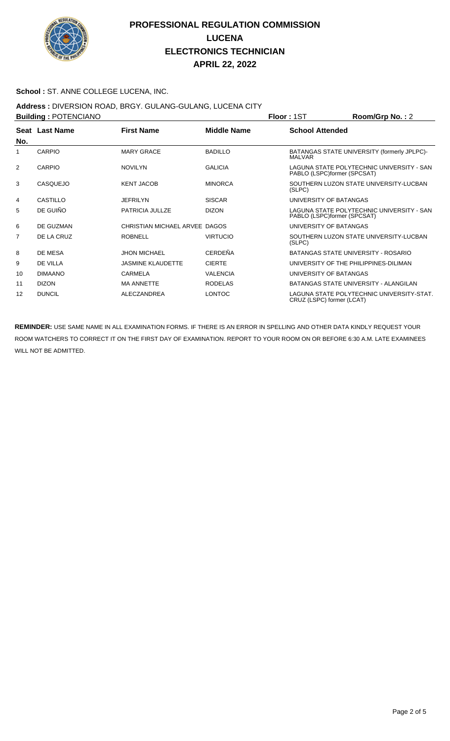

#### **School :** ST. ANNE COLLEGE LUCENA, INC.

## **Address :** DIVERSION ROAD, BRGY. GULANG-GULANG, LUCENA CITY

| <b>Building: POTENCIANO</b> |                 |                               |                    | <b>Floor: 1ST</b> |                             | Room/Grp No.: 2                             |  |
|-----------------------------|-----------------|-------------------------------|--------------------|-------------------|-----------------------------|---------------------------------------------|--|
| No.                         | Seat Last Name  | <b>First Name</b>             | <b>Middle Name</b> |                   | <b>School Attended</b>      |                                             |  |
| 1                           | <b>CARPIO</b>   | <b>MARY GRACE</b>             | <b>BADILLO</b>     |                   | <b>MALVAR</b>               | BATANGAS STATE UNIVERSITY (formerly JPLPC)- |  |
| 2                           | <b>CARPIO</b>   | <b>NOVILYN</b>                | <b>GALICIA</b>     |                   | PABLO (LSPC)former (SPCSAT) | LAGUNA STATE POLYTECHNIC UNIVERSITY - SAN   |  |
| 3                           | CASQUEJO        | <b>KENT JACOB</b>             | <b>MINORCA</b>     |                   | (SLPC)                      | SOUTHERN LUZON STATE UNIVERSITY-LUCBAN      |  |
| 4                           | CASTILLO        | <b>JEFRILYN</b>               | <b>SISCAR</b>      |                   | UNIVERSITY OF BATANGAS      |                                             |  |
| 5                           | DE GUIÑO        | <b>PATRICIA JULLZE</b>        | <b>DIZON</b>       |                   | PABLO (LSPC)former (SPCSAT) | LAGUNA STATE POLYTECHNIC UNIVERSITY - SAN   |  |
| 6                           | DE GUZMAN       | CHRISTIAN MICHAEL ARVEE DAGOS |                    |                   | UNIVERSITY OF BATANGAS      |                                             |  |
| 7                           | DE LA CRUZ      | <b>ROBNELL</b>                | <b>VIRTUCIO</b>    |                   | (SLPC)                      | SOUTHERN LUZON STATE UNIVERSITY-LUCBAN      |  |
| 8                           | DE MESA         | <b>JHON MICHAEL</b>           | CERDEÑA            |                   |                             | BATANGAS STATE UNIVERSITY - ROSARIO         |  |
| 9                           | <b>DE VILLA</b> | <b>JASMINE KLAUDETTE</b>      | <b>CIERTE</b>      |                   |                             | UNIVERSITY OF THE PHILIPPINES-DILIMAN       |  |
| 10                          | <b>DIMAANO</b>  | CARMELA                       | <b>VALENCIA</b>    |                   | UNIVERSITY OF BATANGAS      |                                             |  |
| 11                          | <b>DIZON</b>    | <b>MA ANNETTE</b>             | <b>RODELAS</b>     |                   |                             | BATANGAS STATE UNIVERSITY - ALANGILAN       |  |
| 12                          | <b>DUNCIL</b>   | <b>ALECZANDREA</b>            | <b>LONTOC</b>      |                   | CRUZ (LSPC) former (LCAT)   | LAGUNA STATE POLYTECHNIC UNIVERSITY-STAT.   |  |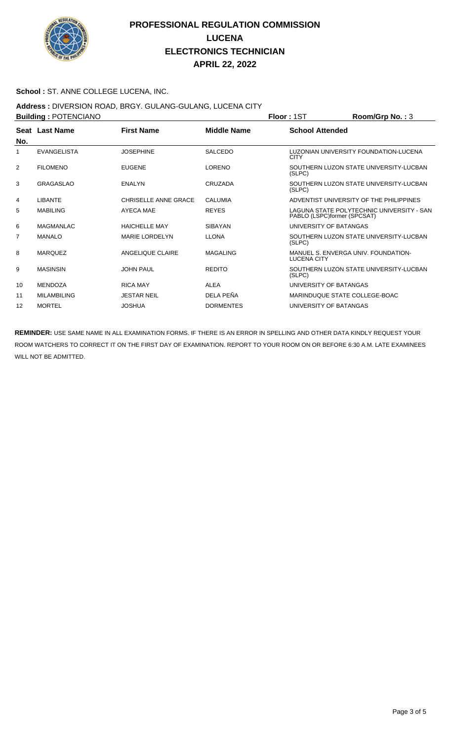

### **School :** ST. ANNE COLLEGE LUCENA, INC.

## **Address :** DIVERSION ROAD, BRGY. GULANG-GULANG, LUCENA CITY

| <b>Building: POTENCIANO</b> |                    |                       |                    | <b>Floor: 1ST</b>             | Room/Grp No.: 3                           |  |
|-----------------------------|--------------------|-----------------------|--------------------|-------------------------------|-------------------------------------------|--|
| No.                         | Seat Last Name     | <b>First Name</b>     | <b>Middle Name</b> | <b>School Attended</b>        |                                           |  |
| 1                           | <b>EVANGELISTA</b> | <b>JOSEPHINE</b>      | <b>SALCEDO</b>     | <b>CITY</b>                   | LUZONIAN UNIVERSITY FOUNDATION-LUCENA     |  |
| 2                           | <b>FILOMENO</b>    | <b>EUGENE</b>         | <b>LORENO</b>      | (SLPC)                        | SOUTHERN LUZON STATE UNIVERSITY-LUCBAN    |  |
| 3                           | <b>GRAGASLAO</b>   | <b>ENALYN</b>         | CRUZADA            | (SLPC)                        | SOUTHERN LUZON STATE UNIVERSITY-LUCBAN    |  |
| 4                           | LIBANTE            | CHRISELLE ANNE GRACE  | CALUMIA            |                               | ADVENTIST UNIVERSITY OF THE PHILIPPINES   |  |
| 5                           | <b>MABILING</b>    | AYECA MAE             | <b>REYES</b>       | PABLO (LSPC)former (SPCSAT)   | LAGUNA STATE POLYTECHNIC UNIVERSITY - SAN |  |
| 6                           | <b>MAGMANLAC</b>   | <b>HAICHELLE MAY</b>  | <b>SIBAYAN</b>     | UNIVERSITY OF BATANGAS        |                                           |  |
| 7                           | <b>MANALO</b>      | <b>MARIE LORDELYN</b> | <b>LLONA</b>       | (SLPC)                        | SOUTHERN LUZON STATE UNIVERSITY-LUCBAN    |  |
| 8                           | <b>MARQUEZ</b>     | ANGELIQUE CLAIRE      | <b>MAGALING</b>    | <b>LUCENA CITY</b>            | MANUEL S. ENVERGA UNIV. FOUNDATION-       |  |
| 9                           | <b>MASINSIN</b>    | <b>JOHN PAUL</b>      | <b>REDITO</b>      | (SLPC)                        | SOUTHERN LUZON STATE UNIVERSITY-LUCBAN    |  |
| 10                          | <b>MENDOZA</b>     | <b>RICA MAY</b>       | <b>ALEA</b>        | UNIVERSITY OF BATANGAS        |                                           |  |
| 11                          | <b>MILAMBILING</b> | <b>JESTAR NEIL</b>    | DELA PEÑA          | MARINDUQUE STATE COLLEGE-BOAC |                                           |  |
| 12                          | <b>MORTEL</b>      | <b>JOSHUA</b>         | <b>DORMENTES</b>   | UNIVERSITY OF BATANGAS        |                                           |  |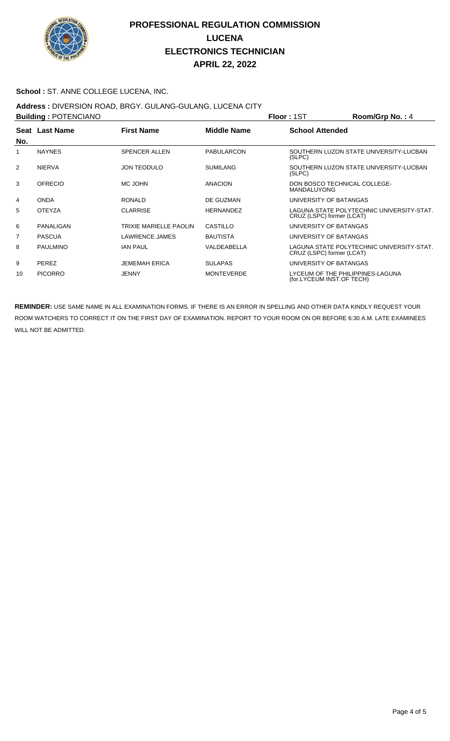

#### **School :** ST. ANNE COLLEGE LUCENA, INC.

### **Address :** DIVERSION ROAD, BRGY. GULANG-GULANG, LUCENA CITY

| <b>Building: POTENCIANO</b> |                 |                        |                   | Floor: 1ST                | Room/Grp No.: 4                           |
|-----------------------------|-----------------|------------------------|-------------------|---------------------------|-------------------------------------------|
| No.                         | Seat Last Name  | <b>First Name</b>      | Middle Name       | <b>School Attended</b>    |                                           |
| 1                           | <b>NAYNES</b>   | <b>SPENCER ALLEN</b>   | PABULARCON        | (SLPC)                    | SOUTHERN LUZON STATE UNIVERSITY-LUCBAN    |
| 2                           | <b>NIERVA</b>   | <b>JON TEODULO</b>     | <b>SUMILANG</b>   | (SLPC)                    | SOUTHERN LUZON STATE UNIVERSITY-LUCBAN    |
| 3                           | <b>OFRECIO</b>  | MC JOHN                | <b>ANACION</b>    | <b>MANDALUYONG</b>        | DON BOSCO TECHNICAL COLLEGE-              |
| 4                           | <b>ONDA</b>     | <b>RONALD</b>          | DE GUZMAN         | UNIVERSITY OF BATANGAS    |                                           |
| 5                           | <b>OTEYZA</b>   | <b>CLARRISE</b>        | <b>HERNANDEZ</b>  | CRUZ (LSPC) former (LCAT) | LAGUNA STATE POLYTECHNIC UNIVERSITY-STAT. |
| 6                           | PANALIGAN       | TRIXIE MARIELLE PAOLIN | CASTILLO          | UNIVERSITY OF BATANGAS    |                                           |
| 7                           | <b>PASCUA</b>   | LAWRENCE JAMES         | <b>BAUTISTA</b>   | UNIVERSITY OF BATANGAS    |                                           |
| 8                           | <b>PAULMINO</b> | <b>IAN PAUL</b>        | VALDEABELLA       | CRUZ (LSPC) former (LCAT) | LAGUNA STATE POLYTECHNIC UNIVERSITY-STAT. |
| 9                           | PEREZ           | <b>JEMEMAH ERICA</b>   | <b>SULAPAS</b>    | UNIVERSITY OF BATANGAS    |                                           |
| 10                          | <b>PICORRO</b>  | <b>JENNY</b>           | <b>MONTEVERDE</b> | (for.LYCEUM INST.OF TECH) | LYCEUM OF THE PHILIPPINES-LAGUNA          |